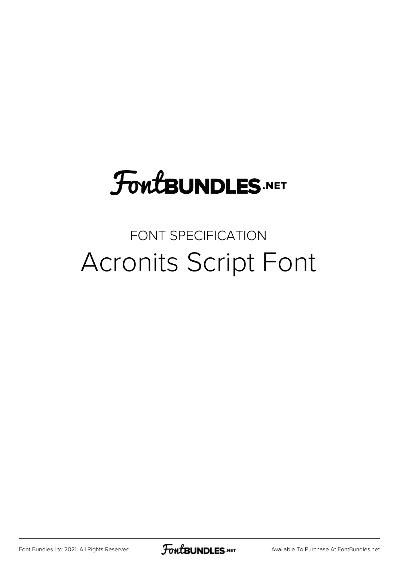## **FoutBUNDLES.NET**

## FONT SPECIFICATION Acronits Script Font

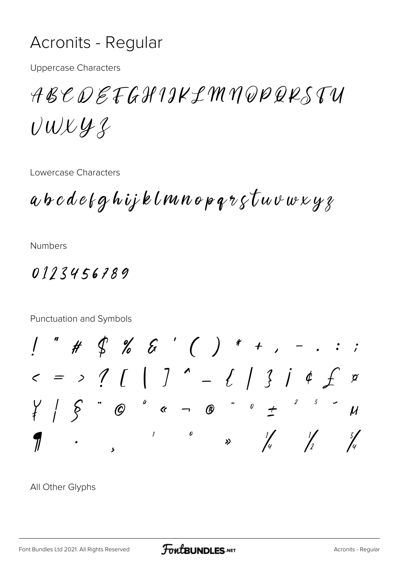## **Acronits - Regular**

**Uppercase Characters** 

ABCDEFGHIJKLMNQPQKSTU  $UUYYZ$ 

Lowercase Characters

 $a$  b  $c$   $d$   $e$   $f$   $g$   $h$   $ij$   $k$   $l$   $m$   $n$   $o$   $p$   $q$   $r$   $g$   $\tau$   $w$   $v$   $w$   $x$   $y$   $z$ 

**Numbers** 

0113456789

Punctuation and Symbols  $1''$  # \$ % & ' ( ) \* + , - . : ;  $5 = 221 [1] - 11314 f$  $\cancel{a}$  $\boldsymbol{\mu}$  $\mathcal{I}$  $\theta$  $\frac{1}{4}$   $\frac{1}{2}$  $\frac{3}{4}$ 7  $\rightarrow$ 

All Other Glyphs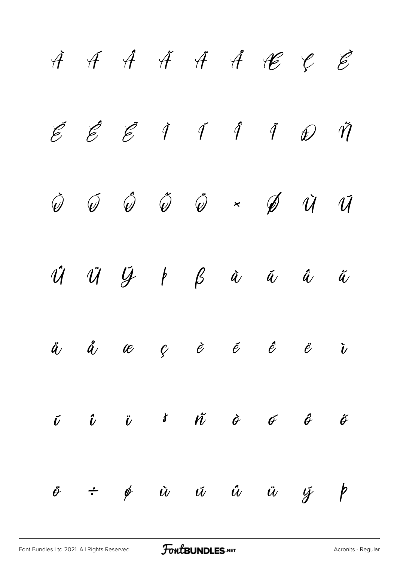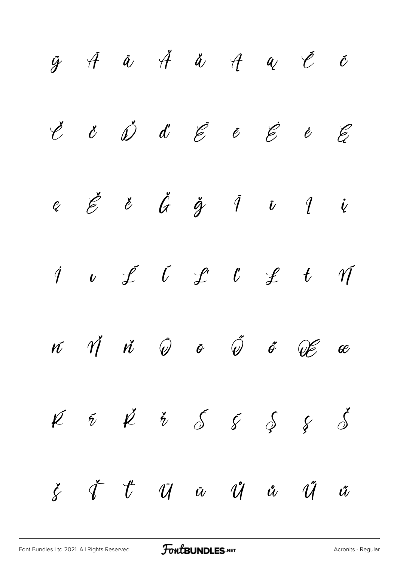